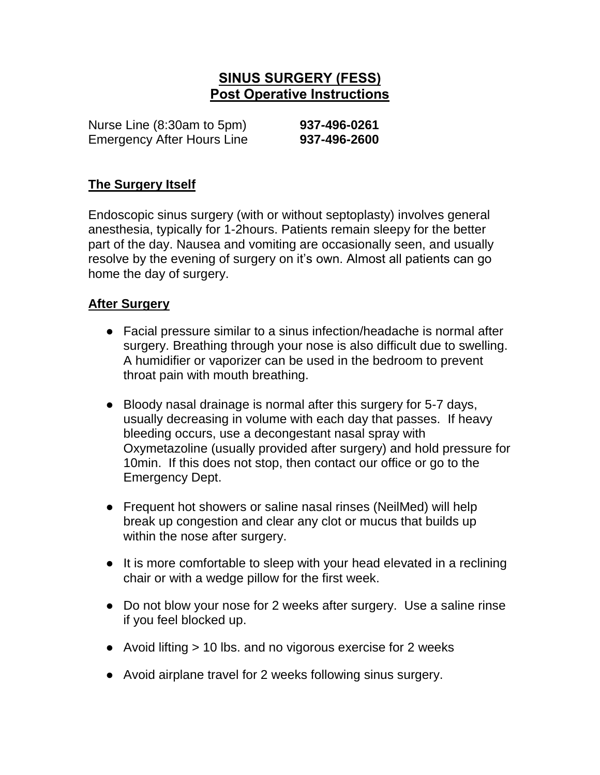## **SINUS SURGERY (FESS) Post Operative Instructions**

Nurse Line (8:30am to 5pm) **937-496-0261** Emergency After Hours Line **937-496-2600**

## **The Surgery Itself**

Endoscopic sinus surgery (with or without septoplasty) involves general anesthesia, typically for 1-2hours. Patients remain sleepy for the better part of the day. Nausea and vomiting are occasionally seen, and usually resolve by the evening of surgery on it's own. Almost all patients can go home the day of surgery.

## **After Surgery**

- Facial pressure similar to a sinus infection/headache is normal after surgery. Breathing through your nose is also difficult due to swelling. A humidifier or vaporizer can be used in the bedroom to prevent throat pain with mouth breathing.
- Bloody nasal drainage is normal after this surgery for 5-7 days, usually decreasing in volume with each day that passes. If heavy bleeding occurs, use a decongestant nasal spray with Oxymetazoline (usually provided after surgery) and hold pressure for 10min. If this does not stop, then contact our office or go to the Emergency Dept.
- Frequent hot showers or saline nasal rinses (NeilMed) will help break up congestion and clear any clot or mucus that builds up within the nose after surgery.
- It is more comfortable to sleep with your head elevated in a reclining chair or with a wedge pillow for the first week.
- Do not blow your nose for 2 weeks after surgery. Use a saline rinse if you feel blocked up.
- Avoid lifting > 10 lbs. and no vigorous exercise for 2 weeks
- Avoid airplane travel for 2 weeks following sinus surgery.